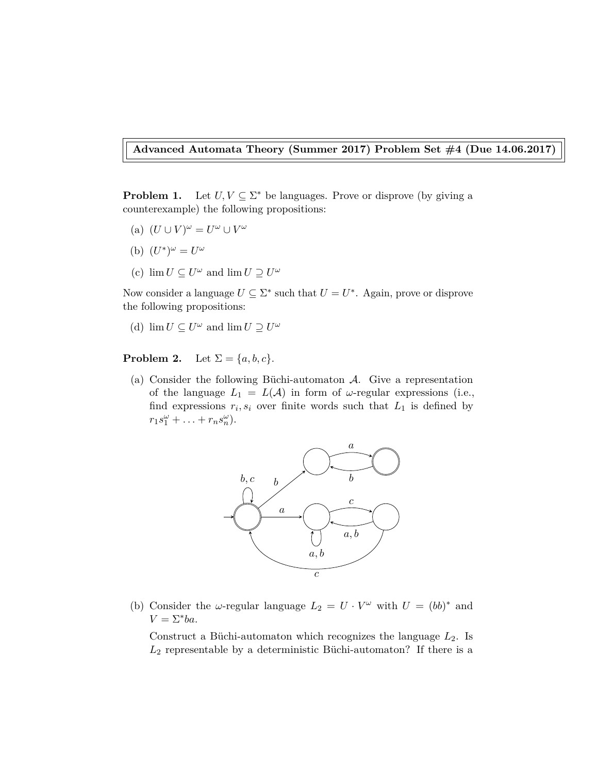**Advanced Automata Theory (Summer 2017) Problem Set #4 (Due 14.06.2017)**

**Problem 1.** Let  $U, V \subseteq \Sigma^*$  be languages. Prove or disprove (by giving a counterexample) the following propositions:

- (a)  $(U \cup V)^\omega = U^\omega \cup V^\omega$
- (b)  $(U^*)^{\omega} = U^{\omega}$
- (c)  $\lim U \subseteq U^{\omega}$  and  $\lim U \supseteq U^{\omega}$

Now consider a language  $U \subseteq \Sigma^*$  such that  $U = U^*$ . Again, prove or disprove the following propositions:

(d)  $\lim U \subseteq U^{\omega}$  and  $\lim U \supseteq U^{\omega}$ 

**Problem 2.** Let  $\Sigma = \{a, b, c\}.$ 

(a) Consider the following Büchi-automaton A. Give a representation of the language  $L_1 = L(\mathcal{A})$  in form of  $\omega$ -regular expressions (i.e., find expressions  $r_i, s_i$  over finite words such that  $L_1$  is defined by  $r_1 s_1^{\omega} + \ldots + r_n s_n^{\omega}$ .



(b) Consider the *ω*-regular language  $L_2 = U \cdot V^{\omega}$  with  $U = (bb)^*$  and  $V = \Sigma^* ba$ .

Construct a Büchi-automaton which recognizes the language *L*2. Is  $L_2$  representable by a deterministic Büchi-automaton? If there is a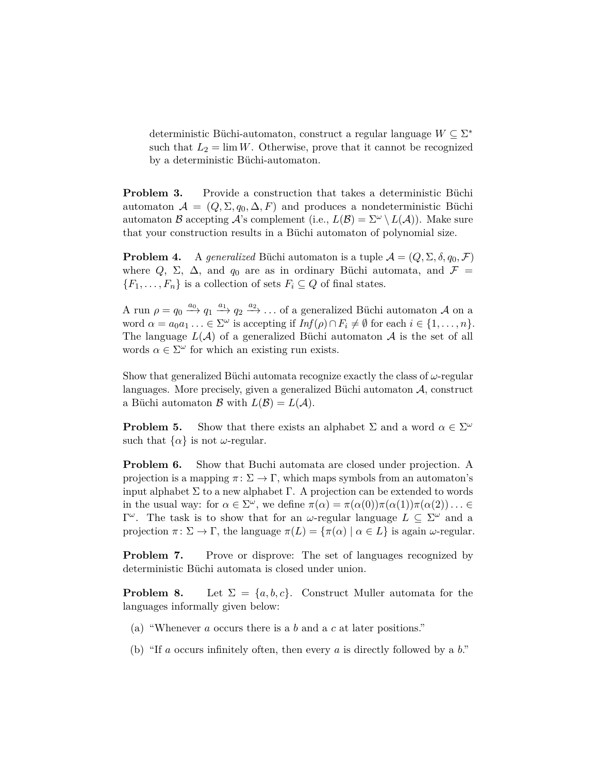deterministic Büchi-automaton, construct a regular language *W* ⊆ Σ ∗ such that  $L_2 = \lim W$ . Otherwise, prove that it cannot be recognized by a deterministic Büchi-automaton.

**Problem 3.** Provide a construction that takes a deterministic Büchi automaton  $A = (Q, \Sigma, q_0, \Delta, F)$  and produces a nondeterministic Büchi automaton B accepting A's complement (i.e.,  $L(\mathcal{B}) = \Sigma^{\omega} \setminus L(\mathcal{A})$ ). Make sure that your construction results in a Büchi automaton of polynomial size.

**Problem 4.** A *generalized* Büchi automaton is a tuple  $A = (Q, \Sigma, \delta, q_0, \mathcal{F})$ where  $Q$ ,  $\Sigma$ ,  $\Delta$ , and  $q_0$  are as in ordinary Büchi automata, and  $\mathcal{F} =$  ${F_1, \ldots, F_n}$  is a collection of sets  $F_i \subseteq Q$  of final states.

A run  $\rho = q_0 \xrightarrow{a_0} q_1 \xrightarrow{a_1} q_2 \xrightarrow{a_2} \dots$  of a generalized Büchi automaton A on a word  $\alpha = a_0 a_1 \ldots \in \Sigma^\omega$  is accepting if  $Inf(\rho) \cap F_i \neq \emptyset$  for each  $i \in \{1, \ldots, n\}$ . The language  $L(\mathcal{A})$  of a generalized Büchi automaton  $\mathcal A$  is the set of all words  $\alpha \in \Sigma^{\omega}$  for which an existing run exists.

Show that generalized Büchi automata recognize exactly the class of *ω*-regular languages. More precisely, given a generalized Büchi automaton A, construct a Büchi automaton  $\mathcal{B}$  with  $L(\mathcal{B}) = L(\mathcal{A})$ .

**Problem 5.** Show that there exists an alphabet  $\Sigma$  and a word  $\alpha \in \Sigma^{\omega}$ such that  $\{\alpha\}$  is not *ω*-regular.

**Problem 6.** Show that Buchi automata are closed under projection. A projection is a mapping  $\pi: \Sigma \to \Gamma$ , which maps symbols from an automaton's input alphabet  $\Sigma$  to a new alphabet  $\Gamma$ . A projection can be extended to words in the usual way: for  $\alpha \in \Sigma^{\omega}$ , we define  $\pi(\alpha) = \pi(\alpha(0))\pi(\alpha(1))\pi(\alpha(2))\ldots \in$  $Γ<sup>ω</sup>$ . The task is to show that for an *ω*-regular language  $L ⊆ Σ<sup>ω</sup>$  and a projection  $\pi \colon \Sigma \to \Gamma$ , the language  $\pi(L) = {\pi(\alpha) | \alpha \in L}$  is again  $\omega$ -regular.

**Problem 7.** Prove or disprove: The set of languages recognized by deterministic Büchi automata is closed under union.

**Problem 8.** Let  $\Sigma = \{a, b, c\}$ . Construct Muller automata for the languages informally given below:

- (a) "Whenever *a* occurs there is a *b* and a *c* at later positions."
- (b) "If *a* occurs infinitely often, then every *a* is directly followed by a *b*."